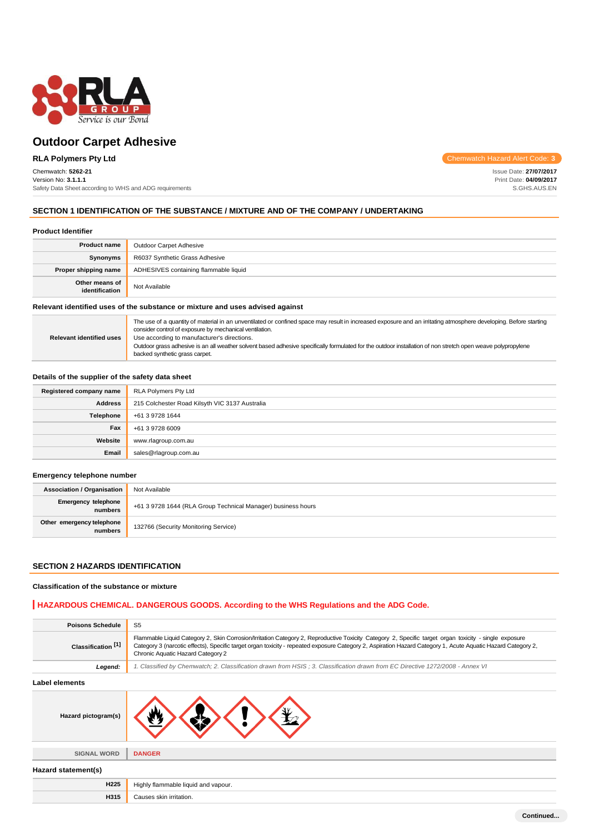

### **RLA Polymers Pty Ltd**

### Chemwatch: **5262-21**

Version No: **3.1.1.1** Safety Data Sheet according to WHS and ADG requirements Chemwatch Hazard Alert Code: **3**

Issue Date: **27/07/2017** Print Date: **04/09/2017** S.GHS.AUS.EN

### **SECTION 1 IDENTIFICATION OF THE SUBSTANCE / MIXTURE AND OF THE COMPANY / UNDERTAKING**

| <b>Product Identifier</b>        |                                       |  |
|----------------------------------|---------------------------------------|--|
| <b>Product name</b>              | <b>Outdoor Carpet Adhesive</b>        |  |
| Synonyms                         | R6037 Synthetic Grass Adhesive        |  |
| Proper shipping name             | ADHESIVES containing flammable liquid |  |
| Other means of<br>identification | Not Available                         |  |

### **Relevant identified uses of the substance or mixture and uses advised against**

| <b>Relevant identified uses</b> | The use of a quantity of material in an unventilated or confined space may result in increased exposure and an irritating atmosphere developing. Before starting<br>consider control of exposure by mechanical ventilation.<br>Use according to manufacturer's directions.<br>Outdoor grass adhesive is an all weather solvent based adhesive specifically formulated for the outdoor installation of non stretch open weave polypropylene<br>backed synthetic grass carpet. |
|---------------------------------|------------------------------------------------------------------------------------------------------------------------------------------------------------------------------------------------------------------------------------------------------------------------------------------------------------------------------------------------------------------------------------------------------------------------------------------------------------------------------|
|---------------------------------|------------------------------------------------------------------------------------------------------------------------------------------------------------------------------------------------------------------------------------------------------------------------------------------------------------------------------------------------------------------------------------------------------------------------------------------------------------------------------|

### **Details of the supplier of the safety data sheet**

| Registered company name | <b>RLA Polymers Pty Ltd</b>                    |
|-------------------------|------------------------------------------------|
| <b>Address</b>          | 215 Colchester Road Kilsyth VIC 3137 Australia |
| Telephone               | +61 3 9728 1644                                |
| Fax                     | +61 3 9728 6009                                |
| Website                 | www.rlagroup.com.au                            |
| Email                   | sales@rlagroup.com.au                          |

#### **Emergency telephone number**

| <b>Association / Organisation</b>    | Not Available                                                |
|--------------------------------------|--------------------------------------------------------------|
| Emergency telephone<br>numbers       | +61 3 9728 1644 (RLA Group Technical Manager) business hours |
| Other emergency telephone<br>numbers | 132766 (Security Monitoring Service)                         |

### **SECTION 2 HAZARDS IDENTIFICATION**

### **Classification of the substance or mixture**

### **HAZARDOUS CHEMICAL. DANGEROUS GOODS. According to the WHS Regulations and the ADG Code.**

| <b>Poisons Schedule</b>       | S <sub>5</sub>                                                                                                                                                                                                                                                                                                                                             |  |  |
|-------------------------------|------------------------------------------------------------------------------------------------------------------------------------------------------------------------------------------------------------------------------------------------------------------------------------------------------------------------------------------------------------|--|--|
| Classification <sup>[1]</sup> | Flammable Liquid Category 2, Skin Corrosion/Irritation Category 2, Reproductive Toxicity Category 2, Specific target organ toxicity - single exposure<br>Category 3 (narcotic effects), Specific target organ toxicity - repeated exposure Category 2, Aspiration Hazard Category 1, Acute Aquatic Hazard Category 2,<br>Chronic Aquatic Hazard Category 2 |  |  |
| Legend:                       | 1. Classified by Chemwatch; 2. Classification drawn from HSIS; 3. Classification drawn from EC Directive 1272/2008 - Annex VI                                                                                                                                                                                                                              |  |  |
| Label elements                |                                                                                                                                                                                                                                                                                                                                                            |  |  |
| Hazard pictogram(s)           |                                                                                                                                                                                                                                                                                                                                                            |  |  |
| <b>SIGNAL WORD</b>            | <b>DANGER</b>                                                                                                                                                                                                                                                                                                                                              |  |  |
| Hazard statement(s)           |                                                                                                                                                                                                                                                                                                                                                            |  |  |
| H <sub>225</sub>              | Highly flammable liquid and vapour.                                                                                                                                                                                                                                                                                                                        |  |  |
| H315                          | Causes skin irritation.                                                                                                                                                                                                                                                                                                                                    |  |  |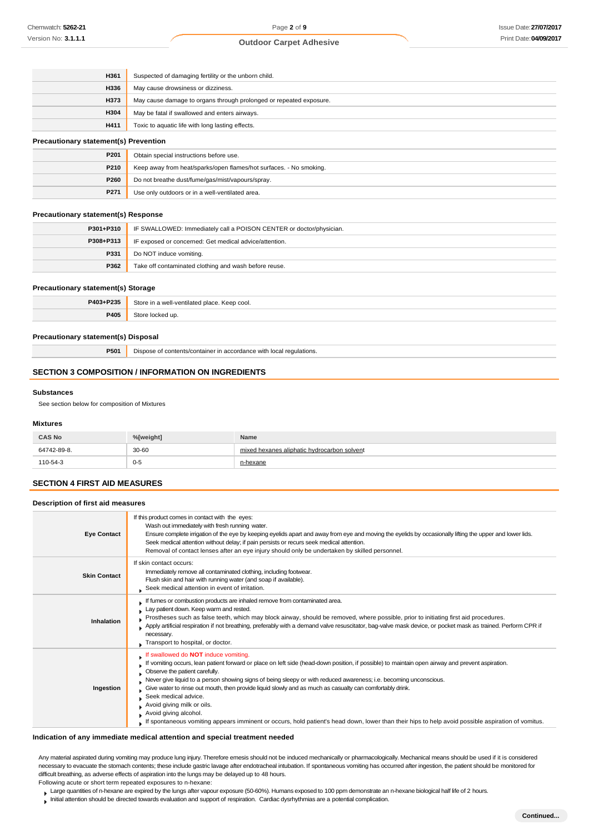| <b>H361</b> | Suspected of damaging fertility or the unborn child.               |  |
|-------------|--------------------------------------------------------------------|--|
| <b>H336</b> | May cause drowsiness or dizziness.                                 |  |
| H373        | May cause damage to organs through prolonged or repeated exposure. |  |
| H304        | May be fatal if swallowed and enters airways.                      |  |
| H411        | Toxic to aquatic life with long lasting effects.                   |  |
|             |                                                                    |  |

### **Precautionary statement(s) Prevention**

| P201 | Obtain special instructions before use.                            |
|------|--------------------------------------------------------------------|
| P210 | Keep away from heat/sparks/open flames/hot surfaces. - No smoking. |
| P260 | Do not breathe dust/fume/gas/mist/vapours/spray.                   |
| P271 | Use only outdoors or in a well-ventilated area.                    |

### **Precautionary statement(s) Response**

| P301+P310 | IF SWALLOWED: Immediately call a POISON CENTER or doctor/physician. |  |
|-----------|---------------------------------------------------------------------|--|
| P308+P313 | IF exposed or concerned: Get medical advice/attention.              |  |
| P331      | Do NOT induce vomiting.                                             |  |
| P362      | Take off contaminated clothing and wash before reuse.               |  |

#### **Precautionary statement(s) Storage**

| P403+P235 | Store<br>≧ Keep cool.<br>all vantilatad placa.<br>10 <del>.</del><br>. |
|-----------|------------------------------------------------------------------------|
| 9405      | ' ur<br>$   -$                                                         |

### **Precautionary statement(s) Disposal**

**P501** Dispose of contents/container in accordance with local regulations.

### **SECTION 3 COMPOSITION / INFORMATION ON INGREDIENTS**

#### **Substances**

See section below for composition of Mixtures

#### **Mixtures**

| <b>CAS No</b> | %[weight] | Name                                        |  |
|---------------|-----------|---------------------------------------------|--|
| 64742-89-8.   | $30 - 60$ | mixed hexanes aliphatic hydrocarbon solvent |  |
| 110-54-3      | $0 - 5$   | ∽exane                                      |  |

### **SECTION 4 FIRST AID MEASURES**

**Description of first aid measures**

| <b>Eye Contact</b>  | If this product comes in contact with the eyes:<br>Wash out immediately with fresh running water.<br>Ensure complete irrigation of the eye by keeping eyelids apart and away from eye and moving the eyelids by occasionally lifting the upper and lower lids.<br>Seek medical attention without delay; if pain persists or recurs seek medical attention.<br>Removal of contact lenses after an eye injury should only be undertaken by skilled personnel.                                                                                                                                                                                                                                  |
|---------------------|----------------------------------------------------------------------------------------------------------------------------------------------------------------------------------------------------------------------------------------------------------------------------------------------------------------------------------------------------------------------------------------------------------------------------------------------------------------------------------------------------------------------------------------------------------------------------------------------------------------------------------------------------------------------------------------------|
| <b>Skin Contact</b> | If skin contact occurs:<br>Immediately remove all contaminated clothing, including footwear.<br>Flush skin and hair with running water (and soap if available).<br>Seek medical attention in event of irritation.                                                                                                                                                                                                                                                                                                                                                                                                                                                                            |
| Inhalation          | If fumes or combustion products are inhaled remove from contaminated area.<br>Lay patient down. Keep warm and rested.<br>Prostheses such as false teeth, which may block airway, should be removed, where possible, prior to initiating first aid procedures.<br>Apply artificial respiration if not breathing, preferably with a demand valve resuscitator, bag-valve mask device, or pocket mask as trained. Perform CPR if<br>necessary.<br>Transport to hospital, or doctor.                                                                                                                                                                                                             |
| Ingestion           | swallowed do NOT induce vomiting.<br>If vomiting occurs, lean patient forward or place on left side (head-down position, if possible) to maintain open airway and prevent aspiration.<br>Observe the patient carefully.<br>Never give liquid to a person showing signs of being sleepy or with reduced awareness; i.e. becoming unconscious.<br>Give water to rinse out mouth, then provide liquid slowly and as much as casualty can comfortably drink.<br>Seek medical advice.<br>Avoid giving milk or oils.<br>Avoid giving alcohol.<br>If spontaneous vomiting appears imminent or occurs, hold patient's head down, lower than their hips to help avoid possible aspiration of vomitus. |

#### **Indication of any immediate medical attention and special treatment needed**

Any material aspirated during vomiting may produce lung injury. Therefore emesis should not be induced mechanically or pharmacologically. Mechanical means should be used if it is considered necessary to evacuate the stomach contents; these include gastric lavage after endotracheal intubation. If spontaneous vomiting has occurred after ingestion, the patient should be monitored for difficult breathing, as adverse effects of aspiration into the lungs may be delayed up to 48 hours.

Following acute or short term repeated exposures to n-hexane:

- Large quantities of n-hexane are expired by the lungs after vapour exposure (50-60%). Humans exposed to 100 ppm demonstrate an n-hexane biological half life of 2 hours.
- Initial attention should be directed towards evaluation and support of respiration. Cardiac dysrhythmias are a potential complication.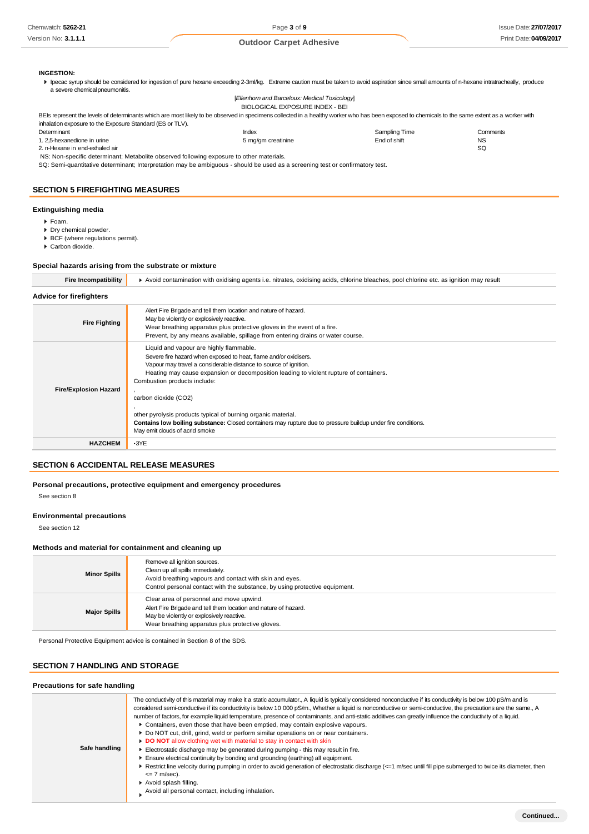### **INGESTION:**

In ecac syrup should be considered for ingestion of pure hexane exceeding 2-3ml/kg. Extreme caution must be taken to avoid aspiration since small amounts of n-hexane intratracheally, produce a severe chemicalpneumonitis.

[*Ellenhorn and Barceloux: Medical Toxicology*]

|                                                                                                                                                                                                 | BIOLOGICAL EXPOSURE INDEX - BEI |               |           |
|-------------------------------------------------------------------------------------------------------------------------------------------------------------------------------------------------|---------------------------------|---------------|-----------|
| BEIs represent the levels of determinants which are most likely to be observed in specimens collected in a healthy worker who has been exposed to chemicals to the same extent as a worker with |                                 |               |           |
| inhalation exposure to the Exposure Standard (ES or TLV).                                                                                                                                       |                                 |               |           |
| Determinant                                                                                                                                                                                     | Index                           | Sampling Time | Comments  |
| 1, 2.5-hexanedione in urine                                                                                                                                                                     | 5 mg/gm creatinine              | End of shift  | <b>NS</b> |
| 2. n-Hexane in end-exhaled air                                                                                                                                                                  |                                 |               | -SQ       |
| NS: Non-specific determinant; Metabolite observed following exposure to other materials.                                                                                                        |                                 |               |           |

SQ: Semi-quantitative determinant; Interpretation may be ambiguous - should be used as a screening test or confirmatory test.

### **SECTION 5 FIREFIGHTING MEASURES**

### **Extinguishing media**

- Foam.
- Dry chemical powder. BCF (where regulations permit).
- Carbon dioxide.
- 

### **Special hazards arising from the substrate or mixture**

| Fire Incompatibility | ▶ Avoid contamination with oxidising agents i.e. nitrates, oxidising acids, chlorine bleaches, pool chlorine etc. as ignition may result |
|----------------------|------------------------------------------------------------------------------------------------------------------------------------------|
|----------------------|------------------------------------------------------------------------------------------------------------------------------------------|

### **Advice for firefighters**

| <b>Fire Fighting</b>         | Alert Fire Brigade and tell them location and nature of hazard.<br>May be violently or explosively reactive.<br>Wear breathing apparatus plus protective gloves in the event of a fire.<br>Prevent, by any means available, spillage from entering drains or water course.                                                                                                                                                                                                                                                                           |
|------------------------------|------------------------------------------------------------------------------------------------------------------------------------------------------------------------------------------------------------------------------------------------------------------------------------------------------------------------------------------------------------------------------------------------------------------------------------------------------------------------------------------------------------------------------------------------------|
| <b>Fire/Explosion Hazard</b> | Liquid and vapour are highly flammable.<br>Severe fire hazard when exposed to heat, flame and/or oxidisers.<br>Vapour may travel a considerable distance to source of ignition.<br>Heating may cause expansion or decomposition leading to violent rupture of containers.<br>Combustion products include:<br>carbon dioxide (CO2)<br>other pyrolysis products typical of burning organic material.<br>Contains low boiling substance: Closed containers may rupture due to pressure buildup under fire conditions.<br>May emit clouds of acrid smoke |
| <b>HAZCHEM</b>               | $\cdot$ 3YE                                                                                                                                                                                                                                                                                                                                                                                                                                                                                                                                          |

### **SECTION 6 ACCIDENTAL RELEASE MEASURES**

**Personal precautions, protective equipment and emergency procedures**

See section 8

#### **Environmental precautions**

See section 12

### **Methods and material for containment and cleaning up**

| <b>Minor Spills</b> | Remove all ignition sources.<br>Clean up all spills immediately.<br>Avoid breathing vapours and contact with skin and eyes.<br>Control personal contact with the substance, by using protective equipment.   |
|---------------------|--------------------------------------------------------------------------------------------------------------------------------------------------------------------------------------------------------------|
| <b>Major Spills</b> | Clear area of personnel and move upwind.<br>Alert Fire Brigade and tell them location and nature of hazard.<br>May be violently or explosively reactive.<br>Wear breathing apparatus plus protective gloves. |

Personal Protective Equipment advice is contained in Section 8 of the SDS.

### **SECTION 7 HANDLING AND STORAGE**

#### **Precautions for safe handling**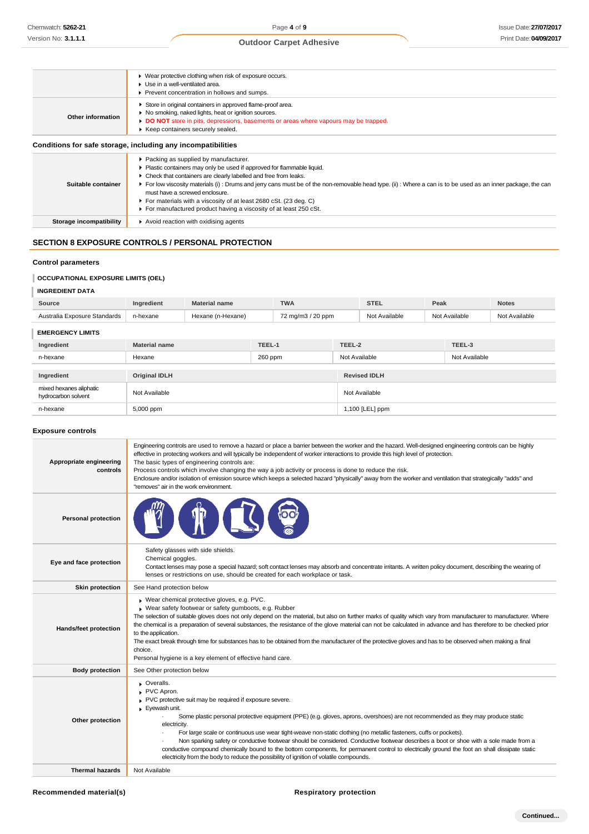|                         | • Wear protective clothing when risk of exposure occurs.                                                                                                                                                                                       |
|-------------------------|------------------------------------------------------------------------------------------------------------------------------------------------------------------------------------------------------------------------------------------------|
|                         | Use in a well-ventilated area.                                                                                                                                                                                                                 |
|                         | Prevent concentration in hollows and sumps.                                                                                                                                                                                                    |
| Other information       | Store in original containers in approved flame-proof area.<br>No smoking, naked lights, heat or ignition sources.<br>DO NOT store in pits, depressions, basements or areas where vapours may be trapped.<br>▶ Keep containers securely sealed. |
|                         | Conditions for safe storage, including any incompatibilities                                                                                                                                                                                   |
|                         | ▶ Packing as supplied by manufacturer.                                                                                                                                                                                                         |
|                         | Plastic containers may only be used if approved for flammable liquid.                                                                                                                                                                          |
|                         | • Check that containers are clearly labelled and free from leaks.                                                                                                                                                                              |
| Suitable container      | ► For low viscosity materials (i): Drums and jerry cans must be of the non-removable head type. (ii): Where a can is to be used as an inner package, the can<br>must have a screwed enclosure.                                                 |
|                         | ▶ For materials with a viscosity of at least 2680 cSt. (23 deg. C)                                                                                                                                                                             |
|                         | For manufactured product having a viscosity of at least 250 cSt.                                                                                                                                                                               |
| Storage incompatibility | Avoid reaction with oxidising agents                                                                                                                                                                                                           |
|                         |                                                                                                                                                                                                                                                |

### **SECTION 8 EXPOSURE CONTROLS / PERSONAL PROTECTION**

### **Control parameters**

### **OCCUPATIONAL EXPOSURE LIMITS (OEL)**

### **INGREDIENT DATA**

| Source                       | Inaredient | <b>Material name</b> | <b>TWA</b>        | <b>STEL</b>   | Peak          | <b>Notes</b>  |
|------------------------------|------------|----------------------|-------------------|---------------|---------------|---------------|
| Australia Exposure Standards | n-hexane   | Hexane (n-Hexane)    | 72 mg/m3 / 20 ppm | Not Available | Not Available | Not Available |

### **EMERGENCY LIMITS**

| Ingredient                                     | <b>Material name</b> | TEEL-1  | TEEL-2              | TEEL-3        |
|------------------------------------------------|----------------------|---------|---------------------|---------------|
| n-hexane                                       | Hexane               | 260 ppm | Not Available       | Not Available |
|                                                |                      |         |                     |               |
| Ingredient                                     | <b>Original IDLH</b> |         | <b>Revised IDLH</b> |               |
| mixed hexanes aliphatic<br>hydrocarbon solvent | Not Available        |         | Not Available       |               |
| n-hexane                                       | 5,000 ppm            |         | 1,100 [LEL] ppm     |               |

### **Exposure controls**

| Appropriate engineering<br>controls | Engineering controls are used to remove a hazard or place a barrier between the worker and the hazard. Well-designed engineering controls can be highly<br>effective in protecting workers and will typically be independent of worker interactions to provide this high level of protection.<br>The basic types of engineering controls are:<br>Process controls which involve changing the way a job activity or process is done to reduce the risk.<br>Enclosure and/or isolation of emission source which keeps a selected hazard "physically" away from the worker and ventilation that strategically "adds" and<br>"removes" air in the work environment.                                                                                                   |
|-------------------------------------|-------------------------------------------------------------------------------------------------------------------------------------------------------------------------------------------------------------------------------------------------------------------------------------------------------------------------------------------------------------------------------------------------------------------------------------------------------------------------------------------------------------------------------------------------------------------------------------------------------------------------------------------------------------------------------------------------------------------------------------------------------------------|
| <b>Personal protection</b>          |                                                                                                                                                                                                                                                                                                                                                                                                                                                                                                                                                                                                                                                                                                                                                                   |
| Eye and face protection             | Safety glasses with side shields.<br>Chemical goggles.<br>Contact lenses may pose a special hazard; soft contact lenses may absorb and concentrate irritants. A written policy document, describing the wearing of<br>lenses or restrictions on use, should be created for each workplace or task.                                                                                                                                                                                                                                                                                                                                                                                                                                                                |
| <b>Skin protection</b>              | See Hand protection below                                                                                                                                                                                                                                                                                                                                                                                                                                                                                                                                                                                                                                                                                                                                         |
| <b>Hands/feet protection</b>        | Wear chemical protective gloves, e.g. PVC.<br>Wear safety footwear or safety gumboots, e.g. Rubber<br>The selection of suitable gloves does not only depend on the material, but also on further marks of quality which vary from manufacturer to manufacturer. Where<br>the chemical is a preparation of several substances, the resistance of the glove material can not be calculated in advance and has therefore to be checked prior<br>to the application.<br>The exact break through time for substances has to be obtained from the manufacturer of the protective gloves and has to be observed when making a final<br>choice.<br>Personal hygiene is a key element of effective hand care.                                                              |
| <b>Body protection</b>              | See Other protection below                                                                                                                                                                                                                                                                                                                                                                                                                                                                                                                                                                                                                                                                                                                                        |
| Other protection                    | Overalls.<br>PVC Apron.<br>PVC protective suit may be required if exposure severe.<br>Evewash unit.<br>Some plastic personal protective equipment (PPE) (e.g. gloves, aprons, overshoes) are not recommended as they may produce static<br>electricity.<br>For large scale or continuous use wear tight-weave non-static clothing (no metallic fasteners, cuffs or pockets).<br>Non sparking safety or conductive footwear should be considered. Conductive footwear describes a boot or shoe with a sole made from a<br>conductive compound chemically bound to the bottom components, for permanent control to electrically ground the foot an shall dissipate static<br>electricity from the body to reduce the possibility of ignition of volatile compounds. |
| <b>Thermal hazards</b>              | Not Available                                                                                                                                                                                                                                                                                                                                                                                                                                                                                                                                                                                                                                                                                                                                                     |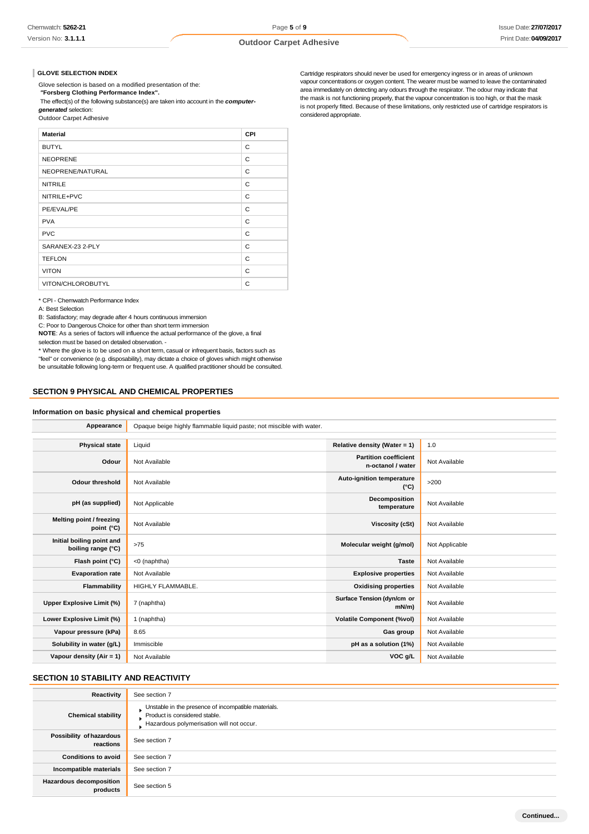#### **GLOVE SELECTION INDEX**

Glove selection is based on a modified presentation of the:

*"***Forsberg Clothing Performance Index".**

The effect(s) of the following substance(s) are taken into account in the *computer-*

*generated* selection: Outdoor Carpet Adhesive

| <b>Material</b>   | <b>CPI</b> |
|-------------------|------------|
| <b>BUTYL</b>      | C          |
| <b>NEOPRENE</b>   | C          |
| NEOPRENE/NATURAL  | C          |
| <b>NITRILE</b>    | C          |
| NITRILE+PVC       | C          |
| PE/EVAL/PE        | C          |
| <b>PVA</b>        | C          |
| <b>PVC</b>        | C          |
| SARANEX-23 2-PLY  | C          |
| <b>TEFLON</b>     | C          |
| <b>VITON</b>      | C          |
| VITON/CHLOROBUTYL | C          |
|                   |            |

\* CPI - Chemwatch Performance Index

A: Best Selection

B: Satisfactory; may degrade after 4 hours continuous immersion

C: Poor to Dangerous Choice for other than short term immersion

**NOTE**: As a series of factors will influence the actual performance of the glove, a final selection must be based on detailed observation. -

\* Where the glove is to be used on a short term, casual or infrequent basis, factors such as "feel" or convenience (e.g. disposability), may dictate a choice of gloves which might otherwise be unsuitable following long-term or frequent use. A qualified practitioner should be consulted.

### **SECTION 9 PHYSICAL AND CHEMICAL PROPERTIES**

#### **Information on basic physical and chemical properties**

|                                                 | Opaque beige highly flammable liquid paste; not miscible with water. |                                                   |                |
|-------------------------------------------------|----------------------------------------------------------------------|---------------------------------------------------|----------------|
| Appearance                                      |                                                                      |                                                   |                |
|                                                 |                                                                      |                                                   |                |
| <b>Physical state</b>                           | Liquid                                                               | Relative density (Water = 1)                      | 1.0            |
| Odour                                           | Not Available                                                        | <b>Partition coefficient</b><br>n-octanol / water | Not Available  |
| <b>Odour threshold</b>                          | Not Available                                                        | Auto-ignition temperature<br>$(^{\circ}C)$        | >200           |
| pH (as supplied)                                | Not Applicable                                                       | Decomposition<br>temperature                      | Not Available  |
| Melting point / freezing<br>point (°C)          | Not Available                                                        | <b>Viscosity (cSt)</b>                            | Not Available  |
| Initial boiling point and<br>boiling range (°C) | >75                                                                  | Molecular weight (g/mol)                          | Not Applicable |
| Flash point (°C)                                | <0 (naphtha)                                                         | <b>Taste</b>                                      | Not Available  |
| <b>Evaporation rate</b>                         | Not Available                                                        | <b>Explosive properties</b>                       | Not Available  |
| Flammability                                    | HIGHLY FLAMMABLE.                                                    | <b>Oxidising properties</b>                       | Not Available  |
| Upper Explosive Limit (%)                       | 7 (naphtha)                                                          | Surface Tension (dyn/cm or<br>$mN/m$ )            | Not Available  |
| Lower Explosive Limit (%)                       | 1 (naphtha)                                                          | <b>Volatile Component (%vol)</b>                  | Not Available  |
| Vapour pressure (kPa)                           | 8.65                                                                 | Gas group                                         | Not Available  |
| Solubility in water (g/L)                       | Immiscible                                                           | pH as a solution (1%)                             | Not Available  |
| Vapour density (Air = 1)                        | Not Available                                                        | VOC g/L                                           | Not Available  |

### **SECTION 10 STABILITY AND REACTIVITY**

| Reactivity                                 | See section 7                                                                                                                    |
|--------------------------------------------|----------------------------------------------------------------------------------------------------------------------------------|
| <b>Chemical stability</b>                  | Unstable in the presence of incompatible materials.<br>Product is considered stable.<br>Hazardous polymerisation will not occur. |
| Possibility of hazardous<br>reactions      | See section 7                                                                                                                    |
| <b>Conditions to avoid</b>                 | See section 7                                                                                                                    |
| Incompatible materials                     | See section 7                                                                                                                    |
| <b>Hazardous decomposition</b><br>products | See section 5                                                                                                                    |

Cartridge respirators should never be used for emergency ingress or in areas of unknown vapour concentrations or oxygen content. The wearer must be warned to leave the contaminated area immediately on detecting any odours through the respirator. The odour may indicate that the mask is not functioning properly, that the vapour concentration is too high, or that the mask is not properly fitted. Because of these limitations, only restricted use of cartridge respirators is considered appropriate.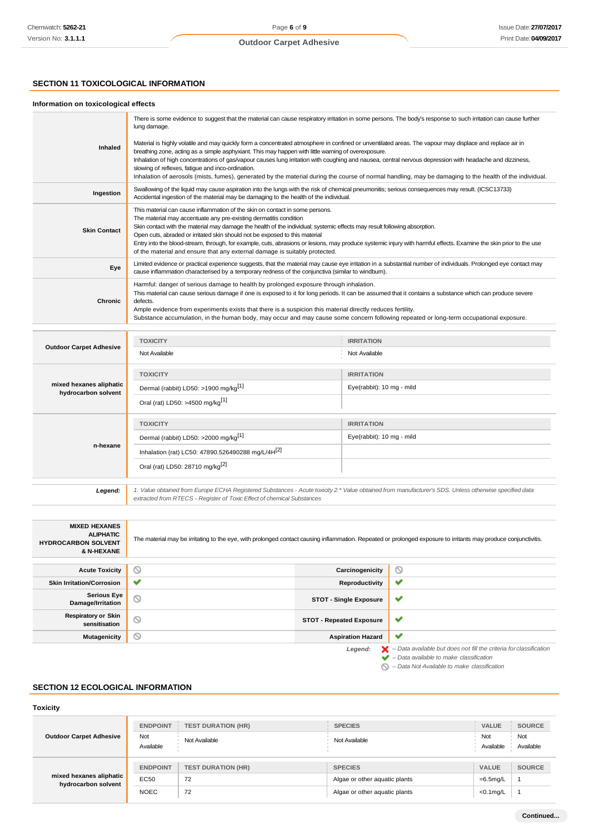### **SECTION 11 TOXICOLOGICAL INFORMATION**

### **Information on toxicological effects**

|                                                | There is some evidence to suggest that the material can cause respiratory irritation in some persons. The body's response to such irritation can cause further<br>lung damage.                                                                                                                                                                                                                                                                                                                                                                                                                                                              |                           |  |
|------------------------------------------------|---------------------------------------------------------------------------------------------------------------------------------------------------------------------------------------------------------------------------------------------------------------------------------------------------------------------------------------------------------------------------------------------------------------------------------------------------------------------------------------------------------------------------------------------------------------------------------------------------------------------------------------------|---------------------------|--|
| Inhaled                                        | Material is highly volatile and may quickly form a concentrated atmosphere in confined or unventilated areas. The vapour may displace and replace air in<br>breathing zone, acting as a simple asphyxiant. This may happen with little warning of overexposure.<br>Inhalation of high concentrations of gas/vapour causes lung irritation with coughing and nausea, central nervous depression with headache and dizziness,<br>slowing of reflexes, fatigue and inco-ordination.<br>Inhalation of aerosols (mists, fumes), generated by the material during the course of normal handling, may be damaging to the health of the individual. |                           |  |
| Ingestion                                      | Swallowing of the liquid may cause aspiration into the lungs with the risk of chemical pneumonitis; serious consequences may result. (ICSC13733)<br>Accidental ingestion of the material may be damaging to the health of the individual.                                                                                                                                                                                                                                                                                                                                                                                                   |                           |  |
| <b>Skin Contact</b>                            | This material can cause inflammation of the skin on contact in some persons.<br>The material may accentuate any pre-existing dermatitis condition<br>Skin contact with the material may damage the health of the individual; systemic effects may result following absorption.<br>Open cuts, abraded or irritated skin should not be exposed to this material<br>Entry into the blood-stream, through, for example, cuts, abrasions or lesions, may produce systemic injury with harmful effects. Examine the skin prior to the use<br>of the material and ensure that any external damage is suitably protected.                           |                           |  |
| Eye                                            | Limited evidence or practical experience suggests, that the material may cause eye irritation in a substantial number of individuals. Prolonged eye contact may<br>cause inflammation characterised by a temporary redness of the conjunctiva (similar to windburn).                                                                                                                                                                                                                                                                                                                                                                        |                           |  |
| Chronic                                        | Harmful: danger of serious damage to health by prolonged exposure through inhalation.<br>This material can cause serious damage if one is exposed to it for long periods. It can be assumed that it contains a substance which can produce severe<br>defects.<br>Ample evidence from experiments exists that there is a suspicion this material directly reduces fertility.<br>Substance accumulation, in the human body, may occur and may cause some concern following repeated or long-term occupational exposure.                                                                                                                       |                           |  |
|                                                |                                                                                                                                                                                                                                                                                                                                                                                                                                                                                                                                                                                                                                             |                           |  |
| <b>Outdoor Carpet Adhesive</b>                 | <b>TOXICITY</b>                                                                                                                                                                                                                                                                                                                                                                                                                                                                                                                                                                                                                             | <b>IRRITATION</b>         |  |
|                                                | Not Available                                                                                                                                                                                                                                                                                                                                                                                                                                                                                                                                                                                                                               | Not Available             |  |
| mixed hexanes aliphatic<br>hydrocarbon solvent | <b>TOXICITY</b>                                                                                                                                                                                                                                                                                                                                                                                                                                                                                                                                                                                                                             | <b>IRRITATION</b>         |  |
|                                                | Dermal (rabbit) LD50: >1900 mg/kg <sup>[1]</sup>                                                                                                                                                                                                                                                                                                                                                                                                                                                                                                                                                                                            | Eye(rabbit): 10 mg - mild |  |
|                                                | Oral (rat) LD50: >4500 mg/kg <sup>[1]</sup>                                                                                                                                                                                                                                                                                                                                                                                                                                                                                                                                                                                                 |                           |  |
|                                                | <b>TOXICITY</b>                                                                                                                                                                                                                                                                                                                                                                                                                                                                                                                                                                                                                             | <b>IRRITATION</b>         |  |

| n-hexane | <b>TOXICITY</b>                                               | <b>IRRITATION</b>         |
|----------|---------------------------------------------------------------|---------------------------|
|          | Dermal (rabbit) LD50: >2000 mg/kg <sup>[1]</sup>              | Eye(rabbit): 10 mg - mild |
|          | Inhalation (rat) LC50: 47890.526490288 mg/L/4H <sup>[2]</sup> |                           |
|          | Oral (rat) LD50: 28710 mg/kg <sup>[2]</sup>                   |                           |
|          |                                                               |                           |

*Legend: 1. Value obtained from Europe ECHA Registered Substances - Acute toxicity 2.\* Value obtained from manufacturer's SDS. Unless otherwise specified data extracted from RTECS - Register of Toxic Effect of chemical Substances*

| <b>MIXED HEXANES</b><br><b>ALIPHATIC</b><br><b>HYDROCARBON SOLVENT</b><br>& N-HEXANE | The material may be irritating to the eye, with prolonged contact causing inflammation. Repeated or prolonged exposure to irritants may produce conjunctivitis. |                                 |                                                                                          |
|--------------------------------------------------------------------------------------|-----------------------------------------------------------------------------------------------------------------------------------------------------------------|---------------------------------|------------------------------------------------------------------------------------------|
| <b>Acute Toxicity</b>                                                                | ◎                                                                                                                                                               | Carcinogenicity                 | $\circ$                                                                                  |
| <b>Skin Irritation/Corrosion</b>                                                     | ✔                                                                                                                                                               | Reproductivity                  | ✔                                                                                        |
| <b>Serious Eye</b><br>Damage/Irritation                                              | $\odot$                                                                                                                                                         | <b>STOT - Single Exposure</b>   | ✔                                                                                        |
| <b>Respiratory or Skin</b><br>sensitisation                                          | $\odot$                                                                                                                                                         | <b>STOT - Repeated Exposure</b> | ✔                                                                                        |
| <b>Mutagenicity</b>                                                                  | $\circ$                                                                                                                                                         | <b>Aspiration Hazard</b>        | ✔                                                                                        |
|                                                                                      |                                                                                                                                                                 | Legend:                         | $\blacktriangleright$ - Data available but does not fill the criteria for classification |

*– Data available to make classification*

*– Data Not Available to make classification*

### **SECTION 12 ECOLOGICAL INFORMATION**

**Toxicity**

| <b>Outdoor Carpet Adhesive</b> | <b>ENDPOINT</b> | <b>TEST DURATION (HR)</b> | <b>SPECIES</b>                | <b>VALUE</b> | <b>SOURCE</b> |
|--------------------------------|-----------------|---------------------------|-------------------------------|--------------|---------------|
|                                | Not             | Not Available             | Not Available                 | Not          | Not           |
|                                | Available       |                           |                               | Available    | Available     |
|                                | <b>ENDPOINT</b> | <b>TEST DURATION (HR)</b> | <b>SPECIES</b>                | <b>VALUE</b> | <b>SOURCE</b> |
| mixed hexanes aliphatic        | EC50            | 72                        | Algae or other aquatic plants | $=6.5$ mg/L  |               |
| hydrocarbon solvent            |                 |                           |                               |              |               |
|                                | <b>NOEC</b>     | 72                        | Algae or other aquatic plants | <0.1mg/L     |               |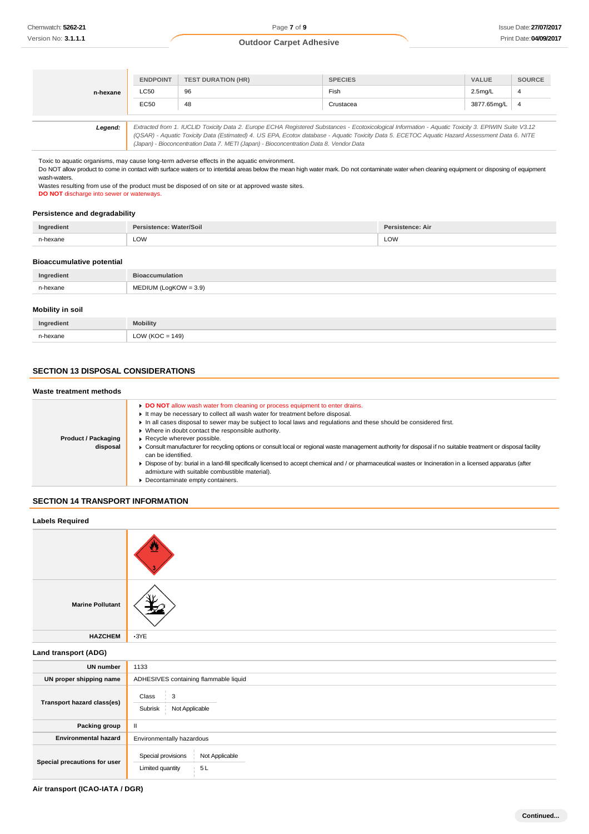| n-hexane | <b>ENDPOINT</b>                                                                                                                                     | <b>TEST DURATION (HR)</b> | <b>SPECIES</b> | <b>VALUE</b>         | <b>SOURCE</b> |
|----------|-----------------------------------------------------------------------------------------------------------------------------------------------------|---------------------------|----------------|----------------------|---------------|
|          | LC50                                                                                                                                                | 96                        | Fish           | 2.5 <sub>mq</sub> /L |               |
|          | <b>EC50</b>                                                                                                                                         | 48                        | Crustacea      | 3877.65mg/L          | - 4           |
|          |                                                                                                                                                     |                           |                |                      |               |
| Legend:  | Extracted from 1. IUCLID Toxicity Data 2. Europe ECHA Registered Substances - Ecotoxicological Information - Aquatic Toxicity 3. EPIWIN Suite V3.12 |                           |                |                      |               |

*(QSAR) - Aquatic Toxicity Data (Estimated) 4. US EPA, Ecotox database - Aquatic Toxicity Data 5. ECETOC Aquatic Hazard Assessment Data 6. NITE (Japan) - Bioconcentration Data 7. METI (Japan) - Bioconcentration Data 8. Vendor Data*

Toxic to aquatic organisms, may cause long-term adverse effects in the aquatic environment.

Do NOT allow product to come in contact with surface waters or to intertidal areas below the mean high water mark. Do not contaminate water when cleaning equipment or disposing of equipment wash-waters

Wastes resulting from use of the product must be disposed of on site or at approved waste sites. **DO NOT** discharge into sewer or waterways.

#### **Persistence and degradability**

| Ingredient | Persistence: Water/Soil | <b>Persistence: Air</b> |
|------------|-------------------------|-------------------------|
| n-hexane   | LOW                     | LOW                     |

### **Bioaccumulative potential**

| Ingredient | <b>Bioaccumulation</b>  |
|------------|-------------------------|
| n-hexane   | $MEDIUM (LogKOW = 3.9)$ |
|            |                         |

### **Mobility in soil**

| Ingredient | <b>Mobility</b>     |
|------------|---------------------|
| n-havana   | LOW ( $KOC = 149$ ) |

### **SECTION 13 DISPOSAL CONSIDERATIONS**

#### **Waste treatment methods**

|                            | DO NOT allow wash water from cleaning or process equipment to enter drains.                                                                                                           |
|----------------------------|---------------------------------------------------------------------------------------------------------------------------------------------------------------------------------------|
|                            | It may be necessary to collect all wash water for treatment before disposal.                                                                                                          |
|                            | In all cases disposal to sewer may be subject to local laws and regulations and these should be considered first.                                                                     |
|                            | ▶ Where in doubt contact the responsible authority.                                                                                                                                   |
| <b>Product / Packaging</b> | Recycle wherever possible.                                                                                                                                                            |
| disposal                   | ■ Consult manufacturer for recycling options or consult local or regional waste management authority for disposal if no suitable treatment or disposal facility<br>can be identified. |
|                            | Dispose of by: burial in a land-fill specifically licensed to accept chemical and / or pharmaceutical wastes or Incineration in a licensed apparatus (after                           |
|                            | admixture with suitable combustible material).                                                                                                                                        |
|                            | Decontaminate empty containers.                                                                                                                                                       |
|                            |                                                                                                                                                                                       |

### **SECTION 14 TRANSPORT INFORMATION**

| <b>Labels Required</b>       |                                                                |  |  |  |
|------------------------------|----------------------------------------------------------------|--|--|--|
|                              |                                                                |  |  |  |
| <b>Marine Pollutant</b>      |                                                                |  |  |  |
| <b>HAZCHEM</b>               | $\cdot$ 3YE                                                    |  |  |  |
| Land transport (ADG)         |                                                                |  |  |  |
| <b>UN number</b>             | 1133                                                           |  |  |  |
| UN proper shipping name      | ADHESIVES containing flammable liquid                          |  |  |  |
| Transport hazard class(es)   | Class<br>3<br>Subrisk Not Applicable                           |  |  |  |
| Packing group                | $\mathbf{II}$                                                  |  |  |  |
| <b>Environmental hazard</b>  | Environmentally hazardous                                      |  |  |  |
| Special precautions for user | Special provisions<br>Not Applicable<br>5L<br>Limited quantity |  |  |  |

**Air transport (ICAO-IATA / DGR)**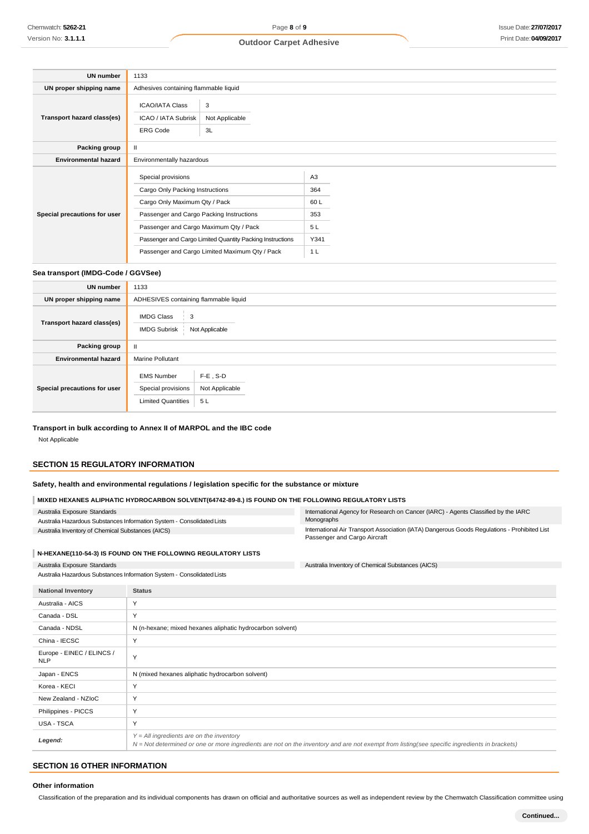| <b>UN number</b>             | 1133                                                      |                                       |                |  |
|------------------------------|-----------------------------------------------------------|---------------------------------------|----------------|--|
| UN proper shipping name      |                                                           | Adhesives containing flammable liquid |                |  |
|                              | <b>ICAO/IATA Class</b>                                    | 3                                     |                |  |
| Transport hazard class(es)   | ICAO / IATA Subrisk                                       | Not Applicable                        |                |  |
|                              | <b>ERG Code</b>                                           | 3L                                    |                |  |
| Packing group                | Ш                                                         |                                       |                |  |
| <b>Environmental hazard</b>  | Environmentally hazardous                                 |                                       |                |  |
|                              |                                                           |                                       |                |  |
|                              | Special provisions                                        |                                       | A <sub>3</sub> |  |
|                              | Cargo Only Packing Instructions                           |                                       | 364            |  |
|                              | Cargo Only Maximum Qty / Pack                             |                                       | 60L            |  |
| Special precautions for user | Passenger and Cargo Packing Instructions                  |                                       | 353            |  |
|                              | Passenger and Cargo Maximum Qty / Pack                    |                                       | 5 L            |  |
|                              | Passenger and Cargo Limited Quantity Packing Instructions |                                       | Y341           |  |
|                              | Passenger and Cargo Limited Maximum Qty / Pack            |                                       | 1 <sub>L</sub> |  |

### **Sea transport (IMDG-Code / GGVSee)**

| <b>UN number</b>             | 1133                                                                          |                                     |  |
|------------------------------|-------------------------------------------------------------------------------|-------------------------------------|--|
| UN proper shipping name      | ADHESIVES containing flammable liquid                                         |                                     |  |
| Transport hazard class(es)   | <b>IMDG Class</b><br>$\frac{1}{2}$ 3<br>Not Applicable<br><b>IMDG Subrisk</b> |                                     |  |
| Packing group                |                                                                               |                                     |  |
| <b>Environmental hazard</b>  | <b>Marine Pollutant</b>                                                       |                                     |  |
| Special precautions for user | <b>EMS Number</b><br>Special provisions<br><b>Limited Quantities</b>          | $F-E$ , S-D<br>Not Applicable<br>5L |  |

### **Transport in bulk according to Annex II of MARPOL and the IBC code**

Not Applicable

### **SECTION 15 REGULATORY INFORMATION**

### **Safety, health and environmental regulations / legislation specific for the substance or mixture**

### **MIXED HEXANES ALIPHATIC HYDROCARBON SOLVENT(64742-89-8.) IS FOUND ON THE FOLLOWING REGULATORY LISTS**

|                                                                                                                                                                                                                        | MIACD REARNES ALIFRATIC RTDROCARDON SOLVENT(04742-09-0.) IS FOUND ON THE FOLLOWING REGULATORT LISTS |                                                                        |                                                                                                                              |
|------------------------------------------------------------------------------------------------------------------------------------------------------------------------------------------------------------------------|-----------------------------------------------------------------------------------------------------|------------------------------------------------------------------------|------------------------------------------------------------------------------------------------------------------------------|
|                                                                                                                                                                                                                        | Australia Exposure Standards                                                                        |                                                                        | International Agency for Research on Cancer (IARC) - Agents Classified by the IARC<br>Monographs                             |
| Australia Hazardous Substances Information System - Consolidated Lists<br>Australia Inventory of Chemical Substances (AICS)                                                                                            |                                                                                                     |                                                                        | International Air Transport Association (IATA) Dangerous Goods Regulations - Prohibited List<br>Passenger and Cargo Aircraft |
|                                                                                                                                                                                                                        |                                                                                                     | N-HEXANE(110-54-3) IS FOUND ON THE FOLLOWING REGULATORY LISTS          |                                                                                                                              |
|                                                                                                                                                                                                                        | Australia Exposure Standards                                                                        |                                                                        | Australia Inventory of Chemical Substances (AICS)                                                                            |
|                                                                                                                                                                                                                        |                                                                                                     | Australia Hazardous Substances Information System - Consolidated Lists |                                                                                                                              |
|                                                                                                                                                                                                                        | <b>National Inventory</b>                                                                           | <b>Status</b>                                                          |                                                                                                                              |
| Y<br>Australia - AICS<br>Y<br>Canada - DSL<br>Canada - NDSL<br>N (n-hexane; mixed hexanes aliphatic hydrocarbon solvent)                                                                                               |                                                                                                     |                                                                        |                                                                                                                              |
|                                                                                                                                                                                                                        |                                                                                                     |                                                                        |                                                                                                                              |
|                                                                                                                                                                                                                        |                                                                                                     |                                                                        |                                                                                                                              |
| Y<br>China - IECSC                                                                                                                                                                                                     |                                                                                                     |                                                                        |                                                                                                                              |
| Europe - EINEC / ELINCS /<br>Y<br><b>NLP</b><br>N (mixed hexanes aliphatic hydrocarbon solvent)<br>Japan - ENCS<br>Y<br>Korea - KECI<br>Y<br>New Zealand - NZloC<br>Y<br>Philippines - PICCS<br>Y<br><b>USA - TSCA</b> |                                                                                                     |                                                                        |                                                                                                                              |
|                                                                                                                                                                                                                        |                                                                                                     |                                                                        |                                                                                                                              |
|                                                                                                                                                                                                                        |                                                                                                     |                                                                        |                                                                                                                              |
|                                                                                                                                                                                                                        |                                                                                                     |                                                                        |                                                                                                                              |
|                                                                                                                                                                                                                        |                                                                                                     |                                                                        |                                                                                                                              |
|                                                                                                                                                                                                                        |                                                                                                     |                                                                        |                                                                                                                              |
|                                                                                                                                                                                                                        |                                                                                                     |                                                                        |                                                                                                                              |

#### *Legend: Y = All ingredients are on the inventory N = Not determined or one or more ingredients are not on the inventory and are not exempt from listing(see specific ingredients in brackets)*

## **SECTION 16 OTHER INFORMATION**

#### **Other information**

Classification of the preparation and its individual components has drawn on official and authoritative sources as well as independent review by the Chemwatch Classification committee using